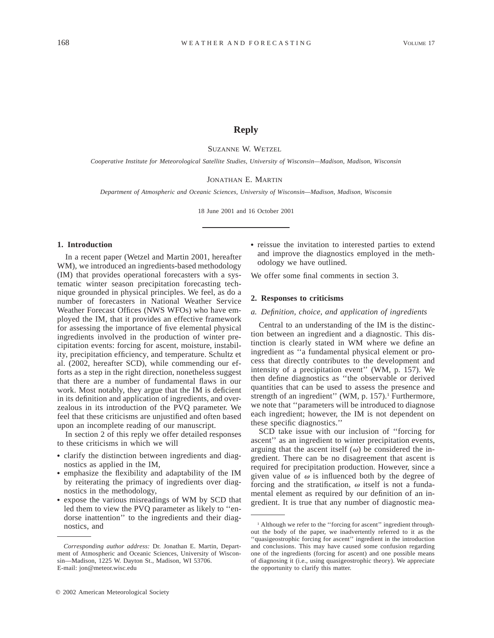# **Reply**

SUZANNE W. WETZEL

*Cooperative Institute for Meteorological Satellite Studies, University of Wisconsin—Madison, Madison, Wisconsin*

# JONATHAN E. MARTIN

*Department of Atmospheric and Oceanic Sciences, University of Wisconsin—Madison, Madison, Wisconsin*

18 June 2001 and 16 October 2001

### **1. Introduction**

In a recent paper (Wetzel and Martin 2001, hereafter WM), we introduced an ingredients-based methodology (IM) that provides operational forecasters with a systematic winter season precipitation forecasting technique grounded in physical principles. We feel, as do a number of forecasters in National Weather Service Weather Forecast Offices (NWS WFOs) who have employed the IM, that it provides an effective framework for assessing the importance of five elemental physical ingredients involved in the production of winter precipitation events: forcing for ascent, moisture, instability, precipitation efficiency, and temperature. Schultz et al. (2002, hereafter SCD), while commending our efforts as a step in the right direction, nonetheless suggest that there are a number of fundamental flaws in our work. Most notably, they argue that the IM is deficient in its definition and application of ingredients, and overzealous in its introduction of the PVQ parameter. We feel that these criticisms are unjustified and often based upon an incomplete reading of our manuscript.

In section 2 of this reply we offer detailed responses to these criticisms in which we will

- clarify the distinction between ingredients and diagnostics as applied in the IM,
- emphasize the flexibility and adaptability of the IM by reiterating the primacy of ingredients over diagnostics in the methodology,
- expose the various misreadings of WM by SCD that led them to view the PVQ parameter as likely to ''endorse inattention'' to the ingredients and their diagnostics, and

• reissue the invitation to interested parties to extend and improve the diagnostics employed in the methodology we have outlined.

We offer some final comments in section 3.

# **2. Responses to criticisms**

*a. Definition, choice, and application of ingredients*

Central to an understanding of the IM is the distinction between an ingredient and a diagnostic. This distinction is clearly stated in WM where we define an ingredient as ''a fundamental physical element or process that directly contributes to the development and intensity of a precipitation event'' (WM, p. 157). We then define diagnostics as ''the observable or derived quantities that can be used to assess the presence and strength of an ingredient" (WM, p. 157).<sup>1</sup> Furthermore, we note that ''parameters will be introduced to diagnose each ingredient; however, the IM is not dependent on these specific diagnostics.''

SCD take issue with our inclusion of ''forcing for ascent'' as an ingredient to winter precipitation events, arguing that the ascent itself  $(\omega)$  be considered the ingredient. There can be no disagreement that ascent is required for precipitation production. However, since a given value of  $\omega$  is influenced both by the degree of forcing and the stratification,  $\omega$  itself is not a fundamental element as required by our definition of an ingredient. It is true that any number of diagnostic mea-

*Corresponding author address:* Dr. Jonathan E. Martin, Department of Atmospheric and Oceanic Sciences, University of Wisconsin—Madison, 1225 W. Dayton St., Madison, WI 53706. E-mail: jon@meteor.wisc.edu

<sup>&</sup>lt;sup>1</sup> Although we refer to the "forcing for ascent" ingredient throughout the body of the paper, we inadvertently referred to it as the ''quasigeostrophic forcing for ascent'' ingredient in the introduction and conclusions. This may have caused some confusion regarding one of the ingredients (forcing for ascent) and one possible means of diagnosing it (i.e., using quasigeostrophic theory). We appreciate the opportunity to clarify this matter.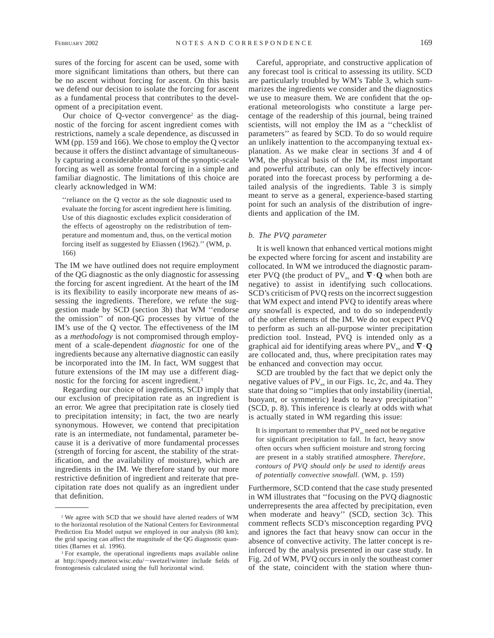sures of the forcing for ascent can be used, some with more significant limitations than others, but there can be no ascent without forcing for ascent. On this basis we defend our decision to isolate the forcing for ascent as a fundamental process that contributes to the development of a precipitation event.

Our choice of Q-vector convergence<sup>2</sup> as the diagnostic of the forcing for ascent ingredient comes with restrictions, namely a scale dependence, as discussed in WM (pp. 159 and 166). We chose to employ the Q vector because it offers the distinct advantage of simultaneously capturing a considerable amount of the synoptic-scale forcing as well as some frontal forcing in a simple and familiar diagnostic. The limitations of this choice are clearly acknowledged in WM:

''reliance on the Q vector as the sole diagnostic used to evaluate the forcing for ascent ingredient here is limiting. Use of this diagnostic excludes explicit consideration of the effects of ageostrophy on the redistribution of temperature and momentum and, thus, on the vertical motion forcing itself as suggested by Eliassen (1962).'' (WM, p. 166)

The IM we have outlined does not require employment of the QG diagnostic as the only diagnostic for assessing the forcing for ascent ingredient. At the heart of the IM is its flexibility to easily incorporate new means of assessing the ingredients. Therefore, we refute the suggestion made by SCD (section 3b) that WM ''endorse the omission'' of non-QG processes by virtue of the IM's use of the Q vector. The effectiveness of the IM as a *methodology* is not compromised through employment of a scale-dependent *diagnostic* for one of the ingredients because any alternative diagnostic can easily be incorporated into the IM. In fact, WM suggest that future extensions of the IM may use a different diagnostic for the forcing for ascent ingredient.3

Regarding our choice of ingredients, SCD imply that our exclusion of precipitation rate as an ingredient is an error. We agree that precipitation rate is closely tied to precipitation intensity; in fact, the two are nearly synonymous. However, we contend that precipitation rate is an intermediate, not fundamental, parameter because it is a derivative of more fundamental processes (strength of forcing for ascent, the stability of the stratification, and the availability of moisture), which are ingredients in the IM. We therefore stand by our more restrictive definition of ingredient and reiterate that precipitation rate does not qualify as an ingredient under that definition.

Careful, appropriate, and constructive application of any forecast tool is critical to assessing its utility. SCD are particularly troubled by WM's Table 3, which summarizes the ingredients we consider and the diagnostics we use to measure them. We are confident that the operational meteorologists who constitute a large percentage of the readership of this journal, being trained scientists, will not employ the IM as a ''checklist of parameters'' as feared by SCD. To do so would require an unlikely inattention to the accompanying textual explanation. As we make clear in sections 3f and 4 of WM, the physical basis of the IM, its most important and powerful attribute, can only be effectively incorporated into the forecast process by performing a detailed analysis of the ingredients. Table 3 is simply meant to serve as a general, experience-based starting point for such an analysis of the distribution of ingredients and application of the IM.

# *b. The PVQ parameter*

It is well known that enhanced vertical motions might be expected where forcing for ascent and instability are collocated. In WM we introduced the diagnostic parameter PVQ (the product of PV<sub>es</sub> and  $\nabla \cdot \mathbf{Q}$  when both are negative) to assist in identifying such collocations. SCD's criticism of PVQ rests on the incorrect suggestion that WM expect and intend PVQ to identify areas where *any* snowfall is expected, and to do so independently of the other elements of the IM. We do not expect PVQ to perform as such an all-purpose winter precipitation prediction tool. Instead, PVQ is intended only as a graphical aid for identifying areas where PV<sub>es</sub> and  $\nabla \cdot \mathbf{Q}$ are collocated and, thus, where precipitation rates may be enhanced and convection may occur.

SCD are troubled by the fact that we depict only the negative values of  $PV_{es}$  in our Figs. 1c, 2c, and 4a. They state that doing so ''implies that only instability (inertial, buoyant, or symmetric) leads to heavy precipitation'' (SCD, p. 8). This inference is clearly at odds with what is actually stated in WM regarding this issue:

It is important to remember that  $PV_{es}$  need not be negative for significant precipitation to fall. In fact, heavy snow often occurs when sufficient moisture and strong forcing are present in a stably stratified atmosphere. *Therefore, contours of PVQ should only be used to identify areas of potentially convective snowfall.* (WM, p. 159)

Furthermore, SCD contend that the case study presented in WM illustrates that ''focusing on the PVQ diagnostic underrepresents the area affected by precipitation, even when moderate and heavy'' (SCD, section 3c). This comment reflects SCD's misconception regarding PVQ and ignores the fact that heavy snow can occur in the absence of convective activity. The latter concept is reinforced by the analysis presented in our case study. In Fig. 2d of WM, PVQ occurs in only the southeast corner of the state, coincident with the station where thun-

<sup>2</sup> We agree with SCD that we should have alerted readers of WM to the horizontal resolution of the National Centers for Environmental Prediction Eta Model output we employed in our analysis (80 km); the grid spacing can affect the magnitude of the QG diagnostic quantities (Barnes et al. 1996).

<sup>3</sup> For example, the operational ingredients maps available online at http://speedy.meteor.wisc.edu/~swetzel/winter include fields of frontogenesis calculated using the full horizontal wind.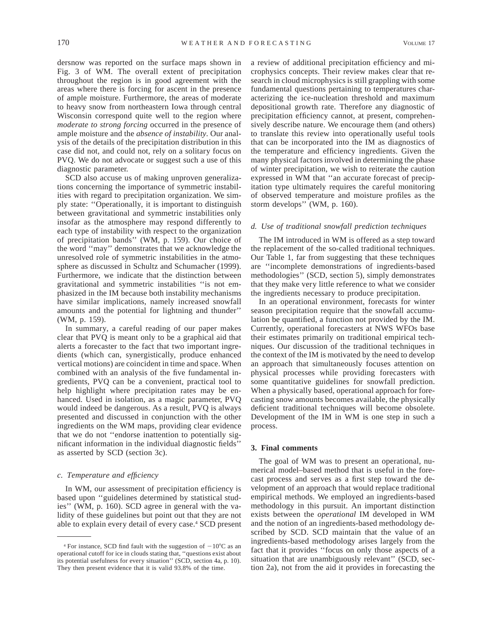dersnow was reported on the surface maps shown in Fig. 3 of WM. The overall extent of precipitation throughout the region is in good agreement with the areas where there is forcing for ascent in the presence of ample moisture. Furthermore, the areas of moderate to heavy snow from northeastern Iowa through central Wisconsin correspond quite well to the region where *moderate to strong forcing* occurred in the presence of ample moisture and the *absence of instability.* Our analysis of the details of the precipitation distribution in this case did not, and could not, rely on a solitary focus on PVQ. We do not advocate or suggest such a use of this diagnostic parameter.

SCD also accuse us of making unproven generalizations concerning the importance of symmetric instabilities with regard to precipitation organization. We simply state: ''Operationally, it is important to distinguish between gravitational and symmetric instabilities only insofar as the atmosphere may respond differently to each type of instability with respect to the organization of precipitation bands'' (WM, p. 159). Our choice of the word ''may'' demonstrates that we acknowledge the unresolved role of symmetric instabilities in the atmosphere as discussed in Schultz and Schumacher (1999). Furthermore, we indicate that the distinction between gravitational and symmetric instabilities ''is not emphasized in the IM because both instability mechanisms have similar implications, namely increased snowfall amounts and the potential for lightning and thunder'' (WM, p. 159).

In summary, a careful reading of our paper makes clear that PVQ is meant only to be a graphical aid that alerts a forecaster to the fact that two important ingredients (which can, synergistically, produce enhanced vertical motions) are coincident in time and space. When combined with an analysis of the five fundamental ingredients, PVQ can be a convenient, practical tool to help highlight where precipitation rates may be enhanced. Used in isolation, as a magic parameter, PVQ would indeed be dangerous. As a result, PVQ is always presented and discussed in conjunction with the other ingredients on the WM maps, providing clear evidence that we do not ''endorse inattention to potentially significant information in the individual diagnostic fields'' as asserted by SCD (section 3c).

#### *c. Temperature and efficiency*

In WM, our assessment of precipitation efficiency is based upon ''guidelines determined by statistical studies'' (WM, p. 160). SCD agree in general with the validity of these guidelines but point out that they are not able to explain every detail of every case.4 SCD present a review of additional precipitation efficiency and microphysics concepts. Their review makes clear that research in cloud microphysics is still grappling with some fundamental questions pertaining to temperatures characterizing the ice-nucleation threshold and maximum depositional growth rate. Therefore any diagnostic of precipitation efficiency cannot, at present, comprehensively describe nature. We encourage them (and others) to translate this review into operationally useful tools that can be incorporated into the IM as diagnostics of the temperature and efficiency ingredients. Given the many physical factors involved in determining the phase of winter precipitation, we wish to reiterate the caution expressed in WM that ''an accurate forecast of precipitation type ultimately requires the careful monitoring of observed temperature and moisture profiles as the storm develops'' (WM, p. 160).

# *d. Use of traditional snowfall prediction techniques*

The IM introduced in WM is offered as a step toward the replacement of the so-called traditional techniques. Our Table 1, far from suggesting that these techniques are ''incomplete demonstrations of ingredients-based methodologies'' (SCD, section 5), simply demonstrates that they make very little reference to what we consider the ingredients necessary to produce precipitation.

In an operational environment, forecasts for winter season precipitation require that the snowfall accumulation be quantified, a function not provided by the IM. Currently, operational forecasters at NWS WFOs base their estimates primarily on traditional empirical techniques. Our discussion of the traditional techniques in the context of the IM is motivated by the need to develop an approach that simultaneously focuses attention on physical processes while providing forecasters with some quantitative guidelines for snowfall prediction. When a physically based, operational approach for forecasting snow amounts becomes available, the physically deficient traditional techniques will become obsolete. Development of the IM in WM is one step in such a process.

# **3. Final comments**

The goal of WM was to present an operational, numerical model–based method that is useful in the forecast process and serves as a first step toward the development of an approach that would replace traditional empirical methods. We employed an ingredients-based methodology in this pursuit. An important distinction exists between the *operational* IM developed in WM and the notion of an ingredients-based methodology described by SCD. SCD maintain that the value of an ingredients-based methodology arises largely from the fact that it provides ''focus on only those aspects of a situation that are unambiguously relevant" (SCD, section 2a), not from the aid it provides in forecasting the

<sup>&</sup>lt;sup>4</sup> For instance, SCD find fault with the suggestion of  $-10^{\circ}$ C as an operational cutoff for ice in clouds stating that, ''questions exist about its potential usefulness for every situation'' (SCD, section 4a, p. 10). They then present evidence that it is valid 93.8% of the time.